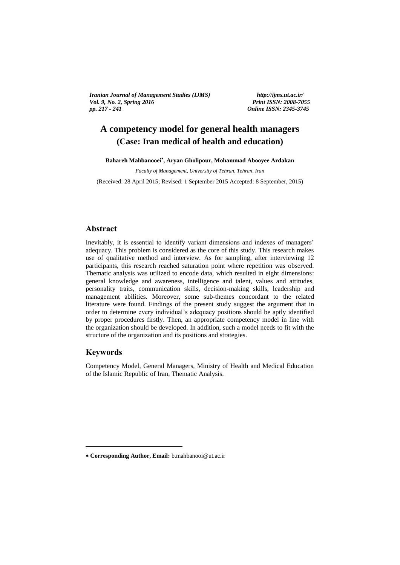*Iranian Journal of Management Studies (IJMS) http://ijms.ut.ac.ir/ Vol. 9, No. 2, Spring 2016 Print ISSN: 2008-7055 pp. 217 - 241 Online ISSN: 2345-3745*

# **A competency model for general health managers (Case: Iran medical of health and education)**  Online ISSN 2345-3745

**Bahareh Mahbanooei , Aryan Gholipour, Mohammad Abooyee Ardakan**

*Faculty of Management, University of Tehran, Tehran, Iran*

(Received: 28 April 2015; Revised: 1 September 2015 Accepted: 8 September, 2015)

## **Abstract**

Inevitably, it is essential to identify variant dimensions and indexes of managers' adequacy. This problem is considered as the core of this study. This research makes use of qualitative method and interview. As for sampling, after interviewing 12 participants, this research reached saturation point where repetition was observed. Thematic analysis was utilized to encode data, which resulted in eight dimensions: general knowledge and awareness, intelligence and talent, values and attitudes, personality traits, communication skills, decision-making skills, leadership and management abilities. Moreover, some sub-themes concordant to the related literature were found. Findings of the present study suggest the argument that in order to determine every individual's adequacy positions should be aptly identified by proper procedures firstly. Then, an appropriate competency model in line with the organization should be developed. In addition, such a model needs to fit with the structure of the organization and its positions and strategies.

# **Keywords**

1

Competency Model, General Managers, Ministry of Health and Medical Education of the Islamic Republic of Iran, Thematic Analysis.

**Corresponding Author, Email:** b.mahbanooi@ut.ac.ir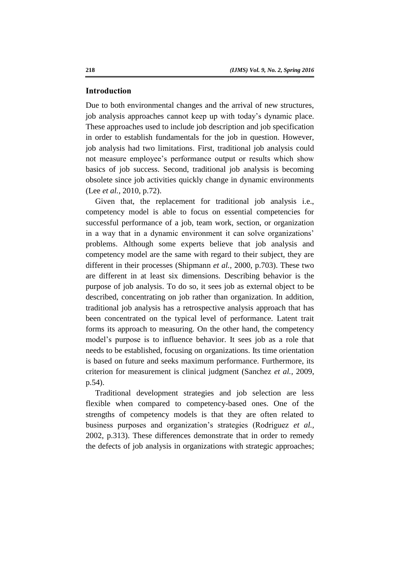### **Introduction**

Due to both environmental changes and the arrival of new structures, job analysis approaches cannot keep up with today's dynamic place. These approaches used to include job description and job specification in order to establish fundamentals for the job in question. However, job analysis had two limitations. First, traditional job analysis could not measure employee's performance output or results which show basics of job success. Second, traditional job analysis is becoming obsolete since job activities quickly change in dynamic environments (Lee *et al.,* 2010, p.72).

Given that, the replacement for traditional job analysis i.e., competency model is able to focus on essential competencies for successful performance of a job, team work, section, or organization in a way that in a dynamic environment it can solve organizations' problems. Although some experts believe that job analysis and competency model are the same with regard to their subject, they are different in their processes (Shipmann *et al.,* 2000, p.703). These two are different in at least six dimensions. Describing behavior is the purpose of job analysis. To do so, it sees job as external object to be described, concentrating on job rather than organization. In addition, traditional job analysis has a retrospective analysis approach that has been concentrated on the typical level of performance. Latent trait forms its approach to measuring. On the other hand, the competency model's purpose is to influence behavior. It sees job as a role that needs to be established, focusing on organizations. Its time orientation is based on future and seeks maximum performance. Furthermore, its criterion for measurement is clinical judgment (Sanchez *et al.,* 2009, p.54).

Traditional development strategies and job selection are less flexible when compared to competency-based ones. One of the strengths of competency models is that they are often related to business purposes and organization's strategies (Rodriguez *et al.,* 2002, p.313). These differences demonstrate that in order to remedy the defects of job analysis in organizations with strategic approaches;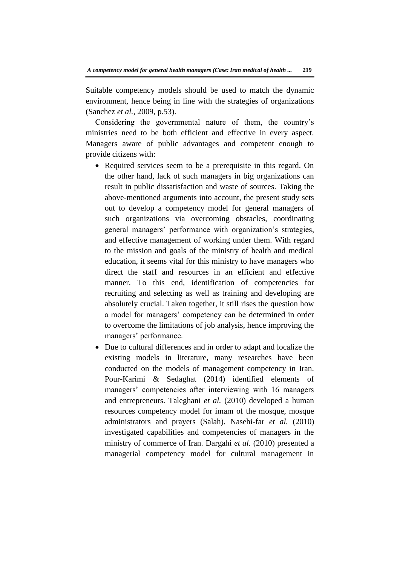Suitable competency models should be used to match the dynamic environment, hence being in line with the strategies of organizations (Sanchez *et al.,* 2009, p.53).

Considering the governmental nature of them, the country's ministries need to be both efficient and effective in every aspect. Managers aware of public advantages and competent enough to provide citizens with:

- Required services seem to be a prerequisite in this regard. On the other hand, lack of such managers in big organizations can result in public dissatisfaction and waste of sources. Taking the above-mentioned arguments into account, the present study sets out to develop a competency model for general managers of such organizations via overcoming obstacles, coordinating general managers' performance with organization's strategies, and effective management of working under them. With regard to the mission and goals of the ministry of health and medical education, it seems vital for this ministry to have managers who direct the staff and resources in an efficient and effective manner. To this end, identification of competencies for recruiting and selecting as well as training and developing are absolutely crucial. Taken together, it still rises the question how a model for managers' competency can be determined in order to overcome the limitations of job analysis, hence improving the managers' performance.
- Due to cultural differences and in order to adapt and localize the existing models in literature, many researches have been conducted on the models of management competency in Iran. Pour-Karimi & Sedaghat (2014) identified elements of managers' competencies after interviewing with 16 managers and entrepreneurs. Taleghani *et al.* (2010) developed a human resources competency model for imam of the mosque, mosque administrators and prayers (Salah). Nasehi-far *et al.* (2010) investigated capabilities and competencies of managers in the ministry of commerce of Iran. Dargahi *et al.* (2010) presented a managerial competency model for cultural management in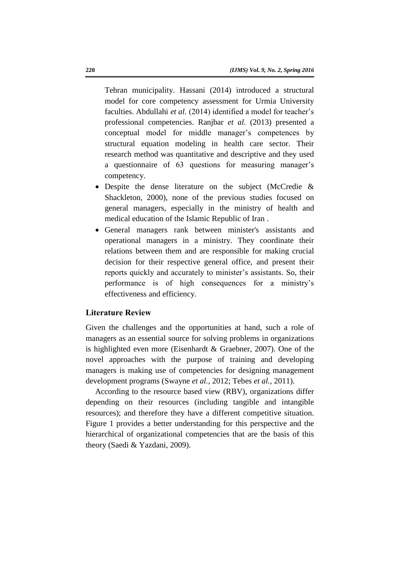Tehran municipality. Hassani (2014) introduced a structural model for core competency assessment for Urmia University faculties. Abdullahi *et al.* (2014) identified a model for teacher's professional competencies. Ranjbar *et al.* (2013) presented a conceptual model for middle manager's competences by structural equation modeling in health care sector. Their research method was quantitative and descriptive and they used a questionnaire of 63 questions for measuring manager's competency.

- Despite the dense literature on the subject (McCredie & Shackleton, 2000), none of the previous studies focused on general managers, especially in the ministry of health and medical education of the Islamic Republic of Iran .
- General managers rank between minister's assistants and operational managers in a ministry. They coordinate their relations between them and are responsible for making crucial decision for their respective general office, and present their reports quickly and accurately to minister's assistants. So, their performance is of high consequences for a ministry's effectiveness and efficiency.

# **Literature Review**

Given the challenges and the opportunities at hand, such a role of managers as an essential source for solving problems in organizations is highlighted even more (Eisenhardt & Graebner, 2007). One of the novel approaches with the purpose of training and developing managers is making use of competencies for designing management development programs (Swayne *et al.,* 2012; Tebes *et al.,* 2011).

According to the resource based view (RBV), organizations differ depending on their resources (including tangible and intangible resources); and therefore they have a different competitive situation. Figure 1 provides a better understanding for this perspective and the hierarchical of organizational competencies that are the basis of this theory (Saedi & Yazdani, 2009).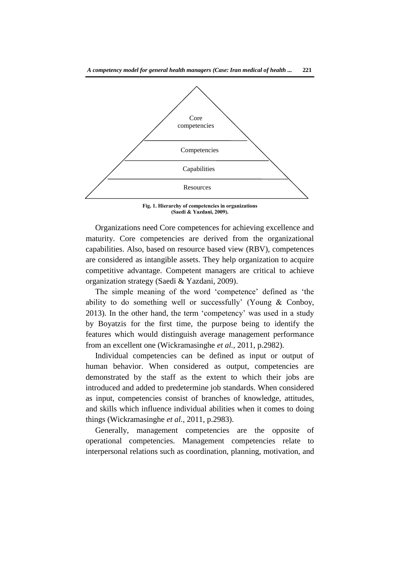

**Fig. 1. Hierarchy of competencies in organizations (Saedi & Yazdani, 2009).**

Organizations need Core competences for achieving excellence and maturity. Core competencies are derived from the organizational capabilities. Also, based on resource based view (RBV), competences are considered as intangible assets. They help organization to acquire competitive advantage. Competent managers are critical to achieve organization strategy (Saedi & Yazdani, 2009).

The simple meaning of the word 'competence' defined as 'the ability to do something well or successfully' (Young & Conboy, 2013). In the other hand, the term 'competency' was used in a study by Boyatzis for the first time, the purpose being to identify the features which would distinguish average management performance from an excellent one (Wickramasinghe *et al.,* 2011, p.2982).

Individual competencies can be defined as input or output of human behavior. When considered as output, competencies are demonstrated by the staff as the extent to which their jobs are introduced and added to predetermine job standards. When considered as input, competencies consist of branches of knowledge, attitudes, and skills which influence individual abilities when it comes to doing things (Wickramasinghe *et al.,* 2011, p.2983).

Generally, management competencies are the opposite of operational competencies. Management competencies relate to interpersonal relations such as coordination, planning, motivation, and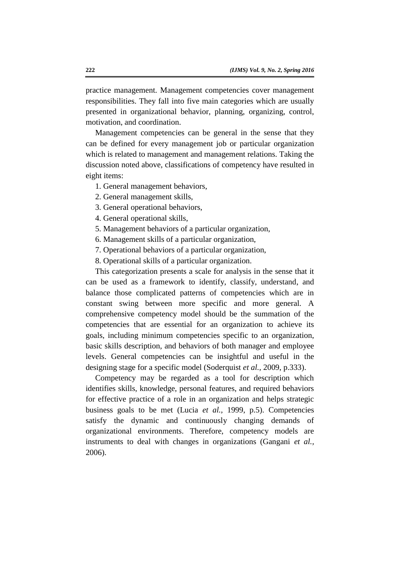practice management. Management competencies cover management responsibilities. They fall into five main categories which are usually presented in organizational behavior, planning, organizing, control, motivation, and coordination.

Management competencies can be general in the sense that they can be defined for every management job or particular organization which is related to management and management relations. Taking the discussion noted above, classifications of competency have resulted in eight items:

- 1. General management behaviors,
- 2. General management skills,
- 3. General operational behaviors,
- 4. General operational skills,
- 5. Management behaviors of a particular organization,
- 6. Management skills of a particular organization,
- 7. Operational behaviors of a particular organization,
- 8. Operational skills of a particular organization.

This categorization presents a scale for analysis in the sense that it can be used as a framework to identify, classify, understand, and balance those complicated patterns of competencies which are in constant swing between more specific and more general. A comprehensive competency model should be the summation of the competencies that are essential for an organization to achieve its goals, including minimum competencies specific to an organization, basic skills description, and behaviors of both manager and employee levels. General competencies can be insightful and useful in the designing stage for a specific model (Soderquist *et al.,* 2009, p.333).

Competency may be regarded as a tool for description which identifies skills, knowledge, personal features, and required behaviors for effective practice of a role in an organization and helps strategic business goals to be met (Lucia *et al.,* 1999, p.5). Competencies satisfy the dynamic and continuously changing demands of organizational environments. Therefore, competency models are instruments to deal with changes in organizations (Gangani *et al.,* 2006).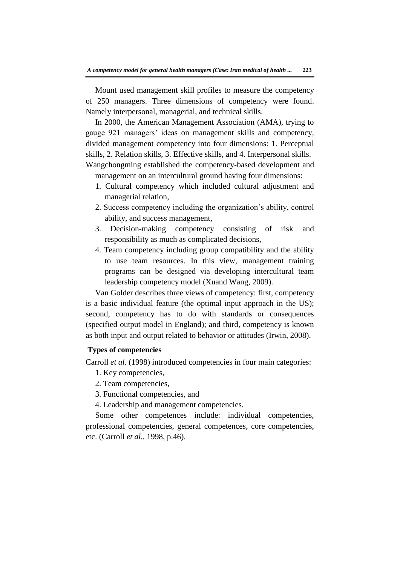Mount used management skill profiles to measure the competency of 250 managers. Three dimensions of competency were found. Namely interpersonal, managerial, and technical skills.

In 2000, the American Management Association (AMA), trying to gauge 921 managers' ideas on management skills and competency, divided management competency into four dimensions: 1. Perceptual skills, 2. Relation skills, 3. Effective skills, and 4. Interpersonal skills. Wangchongming established the competency-based development and

management on an intercultural ground having four dimensions:

- 1. Cultural competency which included cultural adjustment and managerial relation,
- 2. Success competency including the organization's ability, control ability, and success management,
- 3. Decision-making competency consisting of risk and responsibility as much as complicated decisions,
- 4. Team competency including group compatibility and the ability to use team resources. In this view, management training programs can be designed via developing intercultural team leadership competency model (Xuand Wang, 2009).

Van Golder describes three views of competency: first, competency is a basic individual feature (the optimal input approach in the US); second, competency has to do with standards or consequences (specified output model in England); and third, competency is known as both input and output related to behavior or attitudes (Irwin, 2008).

#### **Types of competencies**

Carroll *et al.* (1998) introduced competencies in four main categories:

- 1. Key competencies,
- 2. Team competencies,
- 3. Functional competencies, and
- 4. Leadership and management competencies.

Some other competences include: individual competencies, professional competencies, general competences, core competencies, etc. (Carroll *et al.,* 1998, p.46).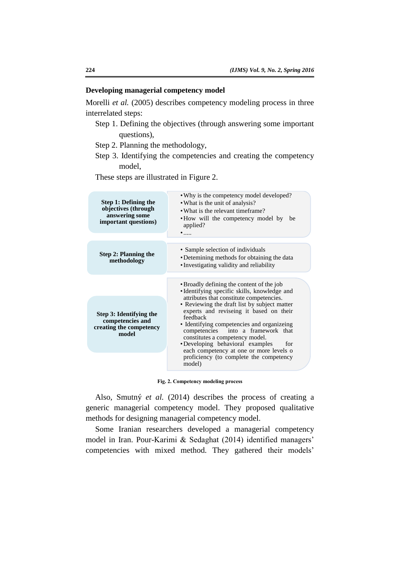### **Developing managerial competency model**

Morelli *et al.* (2005) describes competency modeling process in three interrelated steps:

- Step 1. Defining the objectives (through answering some important questions),
- Step 2. Planning the methodology,
- Step 3. Identifying the competencies and creating the competency model,

These steps are illustrated in Figure 2.

| Step 1: Defining the<br>objectives (through<br>answering some<br>important questions) | . Why is the competency model developed?<br>• What is the unit of analysis?<br>• What is the relevant timeframe?<br>• How will the competency model by<br>be<br>applied?<br>$\bullet$                                                                                                                                                                       |
|---------------------------------------------------------------------------------------|-------------------------------------------------------------------------------------------------------------------------------------------------------------------------------------------------------------------------------------------------------------------------------------------------------------------------------------------------------------|
|                                                                                       |                                                                                                                                                                                                                                                                                                                                                             |
| <b>Step 2: Planning the</b><br>methodology                                            | • Sample selection of individuals<br>• Detemining methods for obtaining the data<br>• Investigating validity and reliability                                                                                                                                                                                                                                |
|                                                                                       | • Broadly defining the content of the job<br>• Identifying specific skills, knowledge and                                                                                                                                                                                                                                                                   |
| Step 3: Identifying the<br>competencies and<br>creating the competency<br>model       | attributes that constitute competencies.<br>• Reviewing the draft list by subject matter<br>experts and reviseing it based on their<br>feedback<br>• Identifying competencies and organizeing<br>competencies into a framework that<br>constitutes a competency model.<br>•Developing behavioral examples<br>for<br>each competency at one or more levels o |
|                                                                                       | proficiency (to complete the competency<br>model)                                                                                                                                                                                                                                                                                                           |

**Fig. 2. Competency modeling process**

Also, Smutný *et al.* (2014) describes the process of creating a generic managerial competency model. They proposed qualitative methods for designing managerial competency model.

Some Iranian researchers developed a managerial competency model in Iran. Pour-Karimi & Sedaghat (2014) identified managers' competencies with mixed method. They gathered their models'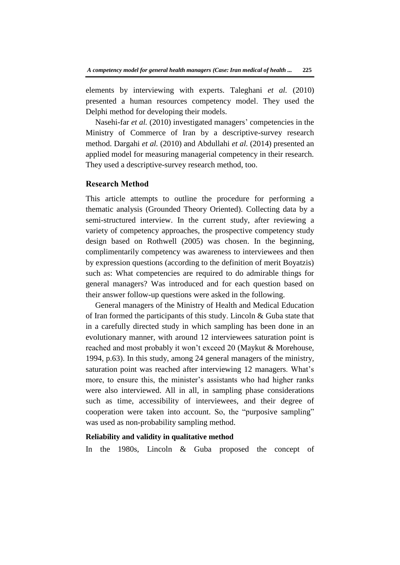elements by interviewing with experts. Taleghani *et al.* (2010) presented a human resources competency model. They used the Delphi method for developing their models.

Nasehi-far *et al.* (2010) investigated managers' competencies in the Ministry of Commerce of Iran by a descriptive-survey research method. Dargahi *et al.* (2010) and Abdullahi *et al.* (2014) presented an applied model for measuring managerial competency in their research. They used a descriptive-survey research method, too.

# **Research Method**

This article attempts to outline the procedure for performing a thematic analysis (Grounded Theory Oriented). Collecting data by a semi-structured interview. In the current study, after reviewing a variety of competency approaches, the prospective competency study design based on Rothwell (2005) was chosen. In the beginning, complimentarily competency was awareness to interviewees and then by expression questions (according to the definition of merit Boyatzis) such as: What competencies are required to do admirable things for general managers? Was introduced and for each question based on their answer follow-up questions were asked in the following.

General managers of the Ministry of Health and Medical Education of Iran formed the participants of this study. Lincoln & Guba state that in a carefully directed study in which sampling has been done in an evolutionary manner, with around 12 interviewees saturation point is reached and most probably it won't exceed 20 (Maykut & Morehouse, 1994, p.63). In this study, among 24 general managers of the ministry, saturation point was reached after interviewing 12 managers. What's more, to ensure this, the minister's assistants who had higher ranks were also interviewed. All in all, in sampling phase considerations such as time, accessibility of interviewees, and their degree of cooperation were taken into account. So, the "purposive sampling" was used as non-probability sampling method.

## **Reliability and validity in qualitative method**

In the 1980s, Lincoln & Guba proposed the concept of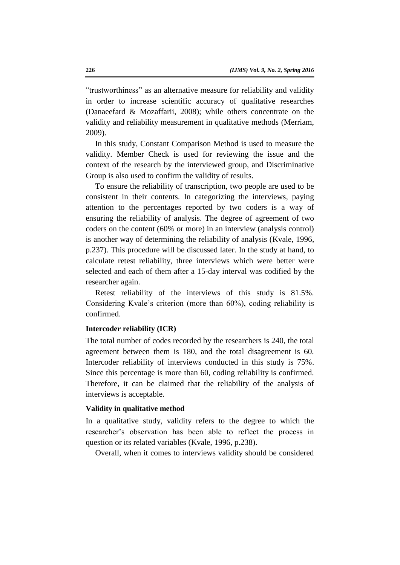"trustworthiness" as an alternative measure for reliability and validity in order to increase scientific accuracy of qualitative researches (Danaeefard & Mozaffarii, 2008); while others concentrate on the validity and reliability measurement in qualitative methods (Merriam, 2009).

In this study, Constant Comparison Method is used to measure the validity. Member Check is used for reviewing the issue and the context of the research by the interviewed group, and Discriminative Group is also used to confirm the validity of results.

To ensure the reliability of transcription, two people are used to be consistent in their contents. In categorizing the interviews, paying attention to the percentages reported by two coders is a way of ensuring the reliability of analysis. The degree of agreement of two coders on the content (60% or more) in an interview (analysis control) is another way of determining the reliability of analysis (Kvale, 1996, p.237). This procedure will be discussed later. In the study at hand, to calculate retest reliability, three interviews which were better were selected and each of them after a 15-day interval was codified by the researcher again.

Retest reliability of the interviews of this study is 81.5%. Considering Kvale's criterion (more than 60%), coding reliability is confirmed.

# **Intercoder reliability (ICR)**

The total number of codes recorded by the researchers is 240, the total agreement between them is 180, and the total disagreement is 60. Intercoder reliability of interviews conducted in this study is 75%. Since this percentage is more than 60, coding reliability is confirmed. Therefore, it can be claimed that the reliability of the analysis of interviews is acceptable.

#### **Validity in qualitative method**

In a qualitative study, validity refers to the degree to which the researcher's observation has been able to reflect the process in question or its related variables (Kvale, 1996, p.238).

Overall, when it comes to interviews validity should be considered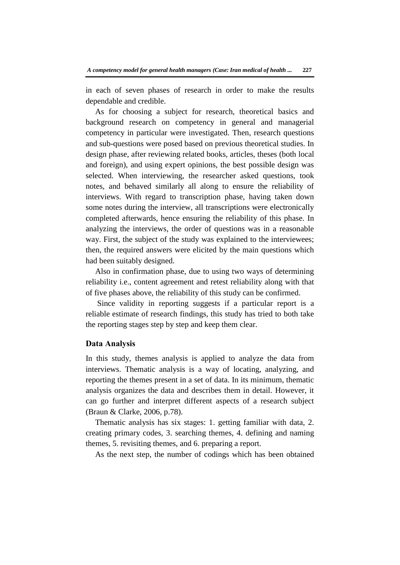in each of seven phases of research in order to make the results dependable and credible.

As for choosing a subject for research, theoretical basics and background research on competency in general and managerial competency in particular were investigated. Then, research questions and sub-questions were posed based on previous theoretical studies. In design phase, after reviewing related books, articles, theses (both local and foreign), and using expert opinions, the best possible design was selected. When interviewing, the researcher asked questions, took notes, and behaved similarly all along to ensure the reliability of interviews. With regard to transcription phase, having taken down some notes during the interview, all transcriptions were electronically completed afterwards, hence ensuring the reliability of this phase. In analyzing the interviews, the order of questions was in a reasonable way. First, the subject of the study was explained to the interviewees; then, the required answers were elicited by the main questions which had been suitably designed.

Also in confirmation phase, due to using two ways of determining reliability i.e., content agreement and retest reliability along with that of five phases above, the reliability of this study can be confirmed.

Since validity in reporting suggests if a particular report is a reliable estimate of research findings, this study has tried to both take the reporting stages step by step and keep them clear.

### **Data Analysis**

In this study, themes analysis is applied to analyze the data from interviews. Thematic analysis is a way of locating, analyzing, and reporting the themes present in a set of data. In its minimum, thematic analysis organizes the data and describes them in detail. However, it can go further and interpret different aspects of a research subject (Braun & Clarke, 2006, p.78).

Thematic analysis has six stages: 1. getting familiar with data, 2. creating primary codes, 3. searching themes, 4. defining and naming themes, 5. revisiting themes, and 6. preparing a report.

As the next step, the number of codings which has been obtained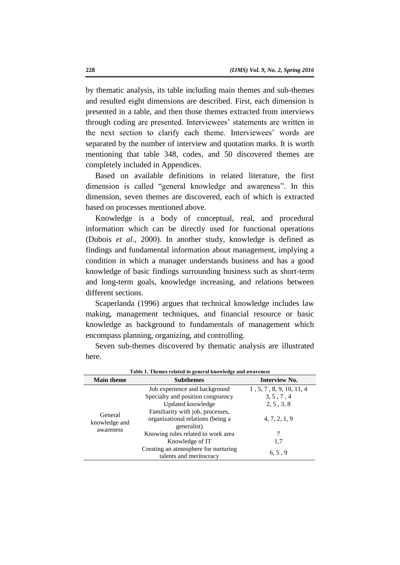by thematic analysis, its table including main themes and sub-themes and resulted eight dimensions are described. First, each dimension is presented in a table, and then those themes extracted from interviews through coding are presented. Interviewees' statements are written in the next section to clarify each theme. Interviewees' words are separated by the number of interview and quotation marks. It is worth mentioning that table 348, codes, and 50 discovered themes are completely included in Appendices.

Based on available definitions in related literature, the first dimension is called "general knowledge and awareness". In this dimension, seven themes are discovered, each of which is extracted based on processes mentioned above.

Knowledge is a body of conceptual, real, and procedural information which can be directly used for functional operations (Dubois *et al.,* 2000). In another study, knowledge is defined as findings and fundamental information about management, implying a condition in which a manager understands business and has a good knowledge of basic findings surrounding business such as short-term and long-term goals, knowledge increasing, and relations between different sections.

Scaperlanda (1996) argues that technical knowledge includes law making, management techniques, and financial resource or basic knowledge as background to fundamentals of management which encompass planning, organizing, and controlling.

| Table 1. Themes related to general knowledge and awareness |                                                                 |                          |  |
|------------------------------------------------------------|-----------------------------------------------------------------|--------------------------|--|
| <b>Main theme</b>                                          | <b>Subthemes</b>                                                | Interview No.            |  |
| General<br>knowledge and<br>awareness                      | Job experience and background                                   | 1, 5, 7, 8, 9, 10, 11, 4 |  |
|                                                            | Specialty and position congruency                               | 3, 5, 7, 4               |  |
|                                                            | Updated knowledge                                               | 2, 5, 3, 8               |  |
|                                                            | Familiarity with job, processes,                                |                          |  |
|                                                            | organizational relations (being a                               | 4, 7, 2, 1, 9            |  |
|                                                            | generalist)                                                     |                          |  |
|                                                            | Knowing rules related to work area                              | 7                        |  |
|                                                            | Knowledge of IT                                                 | 1,7                      |  |
|                                                            | Creating an atmosphere for nurturing<br>talents and meritocracy | 6, 5, 9                  |  |

Seven sub-themes discovered by thematic analysis are illustrated here.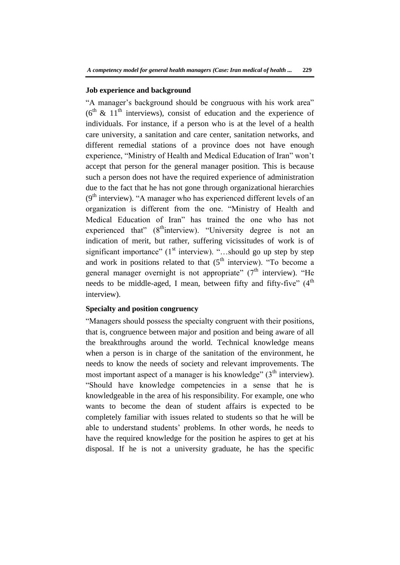#### **Job experience and background**

"A manager's background should be congruous with his work area" ( $6<sup>th</sup>$  & 11<sup>th</sup> interviews), consist of education and the experience of individuals. For instance, if a person who is at the level of a health care university, a sanitation and care center, sanitation networks, and different remedial stations of a province does not have enough experience, "Ministry of Health and Medical Education of Iran" won't accept that person for the general manager position. This is because such a person does not have the required experience of administration due to the fact that he has not gone through organizational hierarchies  $(9<sup>th</sup>$  interview). "A manager who has experienced different levels of an organization is different from the one. "Ministry of Health and Medical Education of Iran" has trained the one who has not experienced that" (8<sup>th</sup>interview). "University degree is not an indication of merit, but rather, suffering vicissitudes of work is of significant importance"  $(1<sup>st</sup>$  interview). "...should go up step by step and work in positions related to that  $(5<sup>th</sup>$  interview). "To become a general manager overnight is not appropriate"  $(7<sup>th</sup>$  interview). "He needs to be middle-aged, I mean, between fifty and fifty-five"  $(4<sup>th</sup>$ interview).

### **Specialty and position congruency**

"Managers should possess the specialty congruent with their positions, that is, congruence between major and position and being aware of all the breakthroughs around the world. Technical knowledge means when a person is in charge of the sanitation of the environment, he needs to know the needs of society and relevant improvements. The most important aspect of a manager is his knowledge"  $(3<sup>th</sup>$  interview). "Should have knowledge competencies in a sense that he is knowledgeable in the area of his responsibility. For example, one who wants to become the dean of student affairs is expected to be completely familiar with issues related to students so that he will be able to understand students' problems. In other words, he needs to have the required knowledge for the position he aspires to get at his disposal. If he is not a university graduate, he has the specific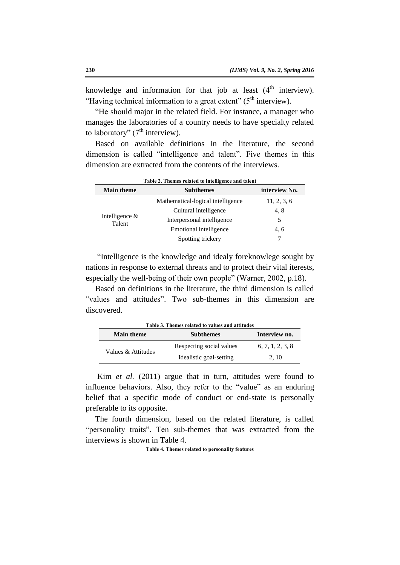knowledge and information for that job at least  $(4<sup>th</sup>$  interview). "Having technical information to a great extent"  $(5<sup>th</sup>$  interview).

"He should major in the related field. For instance, a manager who manages the laboratories of a country needs to have specialty related to laboratory"  $(7<sup>th</sup>$  interview).

Based on available definitions in the literature, the second dimension is called "intelligence and talent". Five themes in this dimension are extracted from the contents of the interviews.

|                             | Tuble 2: Themes Penneu to michigence and tuicht |               |
|-----------------------------|-------------------------------------------------|---------------|
| <b>Main theme</b>           | <b>Subthemes</b>                                | interview No. |
| Intelligence $\&$<br>Talent | Mathematical-logical intelligence               | 11, 2, 3, 6   |
|                             | Cultural intelligence                           | 4, 8          |
|                             | Interpersonal intelligence                      | 5             |
|                             | Emotional intelligence                          | 4.6           |
|                             | Spotting trickery                               |               |
|                             |                                                 |               |

**Table 2. Themes related to intelligence and talent**

"Intelligence is the knowledge and idealy foreknowlege sought by nations in response to external threats and to protect their vital iterests, especially the well-being of their own people" (Warner, 2002, p.18).

Based on definitions in the literature, the third dimension is called "values and attitudes". Two sub-themes in this dimension are discovered.

|                    | Table 3. Themes related to values and attitudes |                  |
|--------------------|-------------------------------------------------|------------------|
| <b>Main theme</b>  | <b>Subthemes</b>                                | Interview no.    |
| Values & Attitudes | Respecting social values                        | 6, 7, 1, 2, 3, 8 |
|                    | Idealistic goal-setting                         | 2.10             |

Kim *et al.* (2011) argue that in turn, attitudes were found to influence behaviors. Also, they refer to the "value" as an enduring belief that a specific mode of conduct or end-state is personally preferable to its opposite.

The fourth dimension, based on the related literature, is called "personality traits". Ten sub-themes that was extracted from the interviews is shown in Table 4.

**Table 4. Themes related to personality features**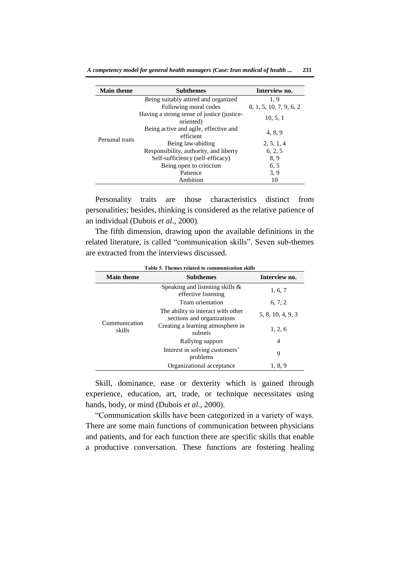| <b>Main theme</b> | <b>Subthemes</b>                                        | Interview no.           |
|-------------------|---------------------------------------------------------|-------------------------|
| Personal traits   | Being suitably attired and organized                    | 1.9                     |
|                   | Following moral codes                                   | 8, 1, 5, 10, 7, 9, 6, 2 |
|                   | Having a strong sense of justice (justice-<br>oriented) | 10, 5, 1                |
|                   | Being active and agile, effective and<br>efficient      | 4, 8, 9                 |
|                   | Being law-abiding                                       | 2, 5, 1, 4              |
|                   | Responsibility, authority, and liberty                  | 6, 2, 5                 |
|                   | Self-sufficiency (self-efficacy)                        | 8.9                     |
|                   | Being open to criticism                                 | 6, 5                    |
|                   | Patience                                                | 3, 9                    |
|                   | Ambition                                                | 10                      |

Personality traits are those characteristics distinct from personalities; besides, thinking is considered as the relative patience of an individual (Dubois *et al.,* 2000).

The fifth dimension, drawing upon the available definitions in the related literature, is called "communication skills". Seven sub-themes are extracted from the interviews discussed.

| <b>Main theme</b>       | <b>Subthemes</b>                                                 | Interview no.     |
|-------------------------|------------------------------------------------------------------|-------------------|
| Communication<br>skills | Speaking and listening skills $\&$<br>effective listening        | 1, 6, 7           |
|                         | Team orientation                                                 | 6, 7, 2           |
|                         | The ability to interact with other<br>sections and organizations | 5, 8, 10, 4, 9, 3 |
|                         | Creating a learning atmosphere in<br>subsets                     | 1, 2, 6           |
|                         | Rallying support                                                 | 4                 |
|                         | Interest in solving customers'<br>problems                       | 9                 |
|                         | Organizational acceptance                                        | 1, 8, 9           |

**Table 5. Themes related to communication skills** 

Skill, dominance, ease or dexterity which is gained through experience, education, art, trade, or technique necessitates using hands, body, or mind (Dubois *et al.,* 2000).

"Communication skills have been categorized in a variety of ways. There are some main functions of communication between physicians and patients, and for each function there are specific skills that enable a productive conversation. These functions are fostering healing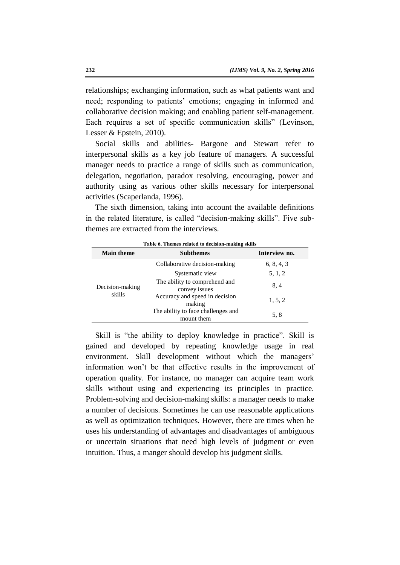relationships; exchanging information, such as what patients want and need; responding to patients' emotions; engaging in informed and collaborative decision making; and enabling patient self-management. Each requires a set of specific communication skills" (Levinson, Lesser & Epstein, 2010).

Social skills and abilities- Bargone and Stewart refer to interpersonal skills as a key job feature of managers. A successful manager needs to practice a range of skills such as communication, delegation, negotiation, paradox resolving, encouraging, power and authority using as various other skills necessary for interpersonal activities (Scaperlanda, 1996).

The sixth dimension, taking into account the available definitions in the related literature, is called "decision-making skills". Five subthemes are extracted from the interviews.

| <b>Main theme</b>         | <b>Subthemes</b>                                 | Interview no. |
|---------------------------|--------------------------------------------------|---------------|
| Decision-making<br>skills | Collaborative decision-making                    | 6, 8, 4, 3    |
|                           | Systematic view                                  | 5, 1, 2       |
|                           | The ability to comprehend and<br>convey issues   | 8, 4          |
|                           | Accuracy and speed in decision<br>making         | 1, 5, 2       |
|                           | The ability to face challenges and<br>mount them | 5, 8          |

Skill is "the ability to deploy knowledge in practice". Skill is gained and developed by repeating knowledge usage in real environment. Skill development without which the managers' information won't be that effective results in the improvement of operation quality. For instance, no manager can acquire team work skills without using and experiencing its principles in practice. Problem-solving and decision-making skills: a manager needs to make a number of decisions. Sometimes he can use reasonable applications as well as optimization techniques. However, there are times when he uses his understanding of advantages and disadvantages of ambiguous or uncertain situations that need high levels of judgment or even intuition. Thus, a manger should develop his judgment skills.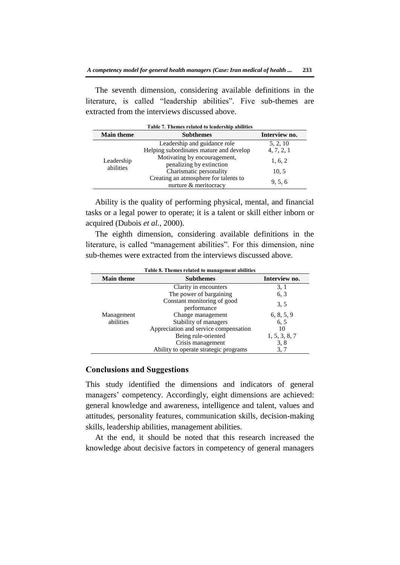The seventh dimension, considering available definitions in the literature, is called "leadership abilities". Five sub-themes are extracted from the interviews discussed above.

|                         | Table 7. Themes related to leadership abilities                         |                        |
|-------------------------|-------------------------------------------------------------------------|------------------------|
| <b>Main theme</b>       | <b>Subthemes</b>                                                        | Interview no.          |
| Leadership<br>abilities | Leadership and guidance role<br>Helping subordinates mature and develop | 5, 2, 10<br>4, 7, 2, 1 |
|                         | Motivating by encouragement,<br>penalizing by extinction                | 1, 6, 2                |
|                         | Charismatic personality                                                 | 10, 5                  |
|                         | Creating an atmosphere for talents to<br>nurture & meritocracy          | 9, 5, 6                |

Ability is the quality of performing physical, mental, and financial tasks or a legal power to operate; it is a talent or skill either inborn or acquired (Dubois *et al.,* 2000).

The eighth dimension, considering available definitions in the literature, is called "management abilities". For this dimension, nine sub-themes were extracted from the interviews discussed above.

| Table 8. Themes related to management abilities |                                            |               |
|-------------------------------------------------|--------------------------------------------|---------------|
| <b>Main theme</b>                               | <b>Subthemes</b>                           | Interview no. |
|                                                 | Clarity in encounters                      | 3, 1          |
|                                                 | The power of bargaining                    | 6.3           |
|                                                 | Constant monitoring of good<br>performance | 3, 5          |
| Management                                      | Change management                          | 6, 8, 5, 9    |
| abilities                                       | Stability of managers                      | 6, 5          |
|                                                 | Appreciation and service compensation      | 10            |
|                                                 | Being rule-oriented                        | 1, 5, 3, 8, 7 |
|                                                 | Crisis management                          | 3, 8          |
|                                                 | Ability to operate strategic programs      | 3, 7          |

# **Conclusions and Suggestions**

This study identified the dimensions and indicators of general managers' competency. Accordingly, eight dimensions are achieved: general knowledge and awareness, intelligence and talent, values and attitudes, personality features, communication skills, decision-making skills, leadership abilities, management abilities.

At the end, it should be noted that this research increased the knowledge about decisive factors in competency of general managers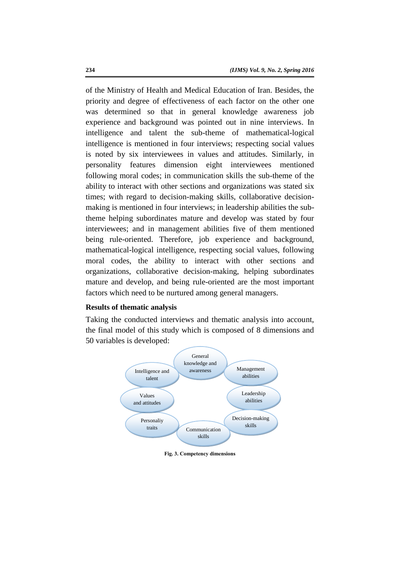of the Ministry of Health and Medical Education of Iran. Besides, the priority and degree of effectiveness of each factor on the other one was determined so that in general knowledge awareness job experience and background was pointed out in nine interviews. In intelligence and talent the sub-theme of mathematical-logical intelligence is mentioned in four interviews; respecting social values is noted by six interviewees in values and attitudes. Similarly, in personality features dimension eight interviewees mentioned following moral codes; in communication skills the sub-theme of the ability to interact with other sections and organizations was stated six times; with regard to decision-making skills, collaborative decisionmaking is mentioned in four interviews; in leadership abilities the subtheme helping subordinates mature and develop was stated by four interviewees; and in management abilities five of them mentioned being rule-oriented. Therefore, job experience and background, mathematical-logical intelligence, respecting social values, following moral codes, the ability to interact with other sections and organizations, collaborative decision-making, helping subordinates mature and develop, and being rule-oriented are the most important factors which need to be nurtured among general managers.

# **Results of thematic analysis**

Taking the conducted interviews and thematic analysis into account, the final model of this study which is composed of 8 dimensions and 50 variables is developed:



**Fig. 3. Competency dimensions**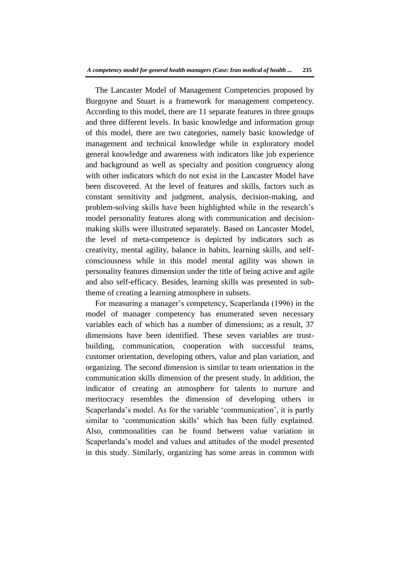The Lancaster Model of Management Competencies proposed by Burgoyne and Stuart is a framework for management competency. According to this model, there are 11 separate features in three groups and three different levels. In basic knowledge and information group of this model, there are two categories, namely basic knowledge of management and technical knowledge while in exploratory model general knowledge and awareness with indicators like job experience and background as well as specialty and position congruency along with other indicators which do not exist in the Lancaster Model have been discovered. At the level of features and skills, factors such as constant sensitivity and judgment, analysis, decision-making, and problem-solving skills have been highlighted while in the research's model personality features along with communication and decisionmaking skills were illustrated separately. Based on Lancaster Model, the level of meta-competence is depicted by indicators such as creativity, mental agility, balance in habits, learning skills, and selfconsciousness while in this model mental agility was shown in personality features dimension under the title of being active and agile and also self-efficacy. Besides, learning skills was presented in subtheme of creating a learning atmosphere in subsets.

For measuring a manager's competency, Scaperlanda (1996) in the model of manager competency has enumerated seven necessary variables each of which has a number of dimensions; as a result, 37 dimensions have been identified. These seven variables are trustbuilding, communication, cooperation with successful teams, customer orientation, developing others, value and plan variation, and organizing. The second dimension is similar to team orientation in the communication skills dimension of the present study. In addition, the indicator of creating an atmosphere for talents to nurture and meritocracy resembles the dimension of developing others in Scaperlanda's model. As for the variable 'communication', it is partly similar to 'communication skills' which has been fully explained. Also, commonalities can be found between value variation in Scaperlanda's model and values and attitudes of the model presented in this study. Similarly, organizing has some areas in common with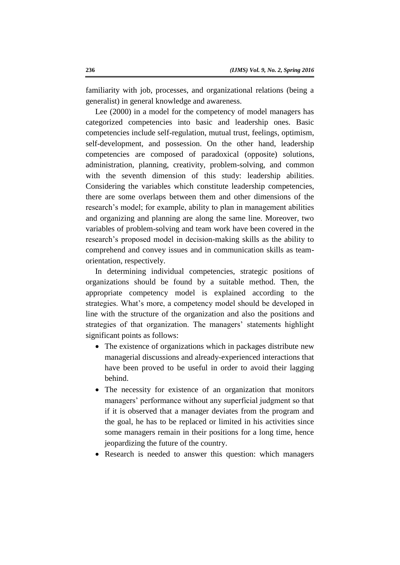familiarity with job, processes, and organizational relations (being a generalist) in general knowledge and awareness.

Lee (2000) in a model for the competency of model managers has categorized competencies into basic and leadership ones. Basic competencies include self-regulation, mutual trust, feelings, optimism, self-development, and possession. On the other hand, leadership competencies are composed of paradoxical (opposite) solutions, administration, planning, creativity, problem-solving, and common with the seventh dimension of this study: leadership abilities. Considering the variables which constitute leadership competencies, there are some overlaps between them and other dimensions of the research's model; for example, ability to plan in management abilities and organizing and planning are along the same line. Moreover, two variables of problem-solving and team work have been covered in the research's proposed model in decision-making skills as the ability to comprehend and convey issues and in communication skills as teamorientation, respectively.

In determining individual competencies, strategic positions of organizations should be found by a suitable method. Then, the appropriate competency model is explained according to the strategies. What's more, a competency model should be developed in line with the structure of the organization and also the positions and strategies of that organization. The managers' statements highlight significant points as follows:

- The existence of organizations which in packages distribute new managerial discussions and already-experienced interactions that have been proved to be useful in order to avoid their lagging behind.
- The necessity for existence of an organization that monitors managers' performance without any superficial judgment so that if it is observed that a manager deviates from the program and the goal, he has to be replaced or limited in his activities since some managers remain in their positions for a long time, hence jeopardizing the future of the country.
- Research is needed to answer this question: which managers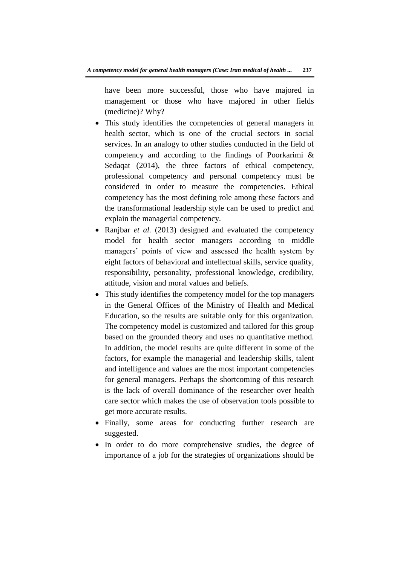have been more successful, those who have majored in management or those who have majored in other fields (medicine)? Why?

- This study identifies the competencies of general managers in health sector, which is one of the crucial sectors in social services. In an analogy to other studies conducted in the field of competency and according to the findings of Poorkarimi & Sedaqat (2014), the three factors of ethical competency, professional competency and personal competency must be considered in order to measure the competencies. Ethical competency has the most defining role among these factors and the transformational leadership style can be used to predict and explain the managerial competency.
- Ranjbar *et al.* (2013) designed and evaluated the competency model for health sector managers according to middle managers' points of view and assessed the health system by eight factors of behavioral and intellectual skills, service quality, responsibility, personality, professional knowledge, credibility, attitude, vision and moral values and beliefs.
- This study identifies the competency model for the top managers in the General Offices of the Ministry of Health and Medical Education, so the results are suitable only for this organization. The competency model is customized and tailored for this group based on the grounded theory and uses no quantitative method. In addition, the model results are quite different in some of the factors, for example the managerial and leadership skills, talent and intelligence and values are the most important competencies for general managers. Perhaps the shortcoming of this research is the lack of overall dominance of the researcher over health care sector which makes the use of observation tools possible to get more accurate results.
- Finally, some areas for conducting further research are suggested.
- In order to do more comprehensive studies, the degree of importance of a job for the strategies of organizations should be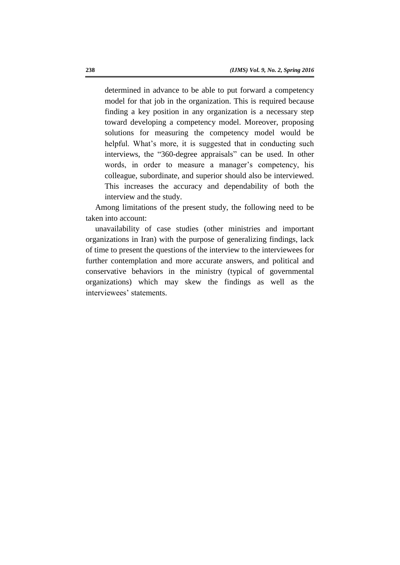determined in advance to be able to put forward a competency model for that job in the organization. This is required because finding a key position in any organization is a necessary step toward developing a competency model. Moreover, proposing solutions for measuring the competency model would be helpful. What's more, it is suggested that in conducting such interviews, the "360-degree appraisals" can be used. In other words, in order to measure a manager's competency, his colleague, subordinate, and superior should also be interviewed. This increases the accuracy and dependability of both the interview and the study.

Among limitations of the present study, the following need to be taken into account:

unavailability of case studies (other ministries and important organizations in Iran) with the purpose of generalizing findings, lack of time to present the questions of the interview to the interviewees for further contemplation and more accurate answers, and political and conservative behaviors in the ministry (typical of governmental organizations) which may skew the findings as well as the interviewees' statements.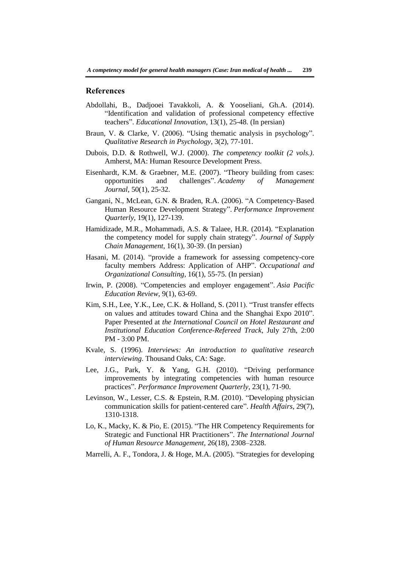#### **References**

- Abdollahi, B., Dadjooei Tavakkoli, A. & Yooseliani, Gh.A. (2014). "Identification and validation of professional competency effective teachers". *Educational Innovation*, 13(1), 25-48. (In persian)
- Braun, V. & Clarke, V. (2006). "Using thematic analysis in psychology". *Qualitative Research in Psychology*, 3(2), 77-101.
- Dubois, D.D. & Rothwell, W.J. (2000). *The competency toolkit (2 vols.)*. Amherst, MA: Human Resource Development Press.
- Eisenhardt, K.M. & Graebner, M.E. (2007). "Theory building from cases: opportunities and challenges". *Academy of Management Journal*, 50(1), 25-32.
- Gangani, N., McLean, G.N. & Braden, R.A. (2006). "A Competency‐Based Human Resource Development Strategy". *Performance Improvement Quarterly*, 19(1), 127-139.
- Hamidizade, M.R., Mohammadi, A.S. & Talaee, H.R. (2014). "Explanation the competency model for supply chain strategy". *Journal of Supply Chain Management*, 16(1), 30-39. (In persian)
- Hasani, M. (2014). "provide a framework for assessing competency-core faculty members Address: Application of AHP". *Occupational and Organizational Consulting*, 16(1), 55-75. (In persian)
- Irwin, P. (2008). "Competencies and employer engagement". *Asia Pacific Education Review*, 9(1), 63-69.
- Kim, S.H., Lee, Y.K., Lee, C.K. & Holland, S. (2011). "Trust transfer effects on values and attitudes toward China and the Shanghai Expo 2010". Paper Presented at *the International Council on Hotel Restaurant and Institutional Education Conference-Refereed Track*, July 27th, 2:00 PM - 3:00 PM.
- Kvale, S. (1996). *Interviews: An introduction to qualitative research interviewing*. Thousand Oaks, CA: Sage.
- Lee, J.G., Park, Y. & Yang, G.H. (2010). "Driving performance improvements by integrating competencies with human resource practices". *Performance Improvement Quarterly*, 23(1), 71-90.
- Levinson, W., Lesser, C.S. & Epstein, R.M. (2010). "Developing physician communication skills for patient-centered care". *Health Affairs*, 29(7), 1310-1318.
- Lo, K., Macky, K. & Pio, E. (2015). "The HR Competency Requirements for Strategic and Functional HR Practitioners". *The International Journal of Human Resource Management*, 26(18), 2308–2328.
- Marrelli, A. F., Tondora, J. & Hoge, M.A. (2005). "Strategies for developing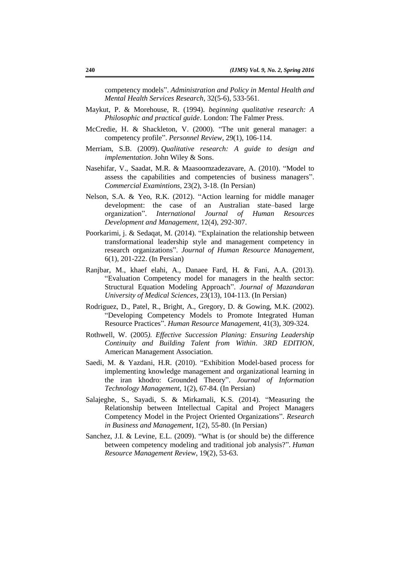competency models". *Administration and Policy in Mental Health and Mental Health Services Research*, 32(5-6), 533-561.

- Maykut, P. & Morehouse, R. (1994). *beginning qualitative research: A Philosophic and practical guide*. London: The Falmer Press.
- McCredie, H. & Shackleton, V. (2000). "The unit general manager: a competency profile". *Personnel Review*, 29(1), 106-114.
- Merriam, S.B. (2009). *Qualitative research: A guide to design and implementation*. John Wiley & Sons.
- Nasehifar, V., Saadat, M.R. & Maasoomzadezavare, A. (2010). "Model to assess the capabilities and competencies of business managers". *Commercial Examintions*, 23(2), 3-18. (In Persian)
- Nelson, S.A. & Yeo, R.K. (2012). "Action learning for middle manager development: the case of an Australian state–based large organization". *International Journal of Human Resources Development and Management*, 12(4), 292-307.
- Poorkarimi, j. & Sedaqat, M. (2014). "Explaination the relationship between transformational leadership style and management competency in research organizations". *Journal of Human Resource Management*, 6(1), 201-222. (In Persian)
- Ranjbar, M., khaef elahi, A., Danaee Fard, H. & Fani, A.A. (2013). "Evaluation Competency model for managers in the health sector: Structural Equation Modeling Approach". *Journal of Mazandaran University of Medical Sciences*, 23(13), 104-113. (In Persian)
- Rodriguez, D., Patel, R., Bright, A., Gregory, D. & Gowing, M.K. (2002). "Developing Competency Models to Promote Integrated Human Resource Practices". *Human Resource Management*, 41(3), 309-324.
- Rothwell, W. (2005*). Effective Succession Planing: Ensuring Leadership Continuity and Building Talent from Within*. *3RD EDITION,* American Management Association.
- Saedi, M. & Yazdani, H.R. (2010). "Exhibition Model-based process for implementing knowledge management and organizational learning in the iran khodro: Grounded Theory". *Journal of Information Technology Management*, 1(2), 67-84. (In Persian)
- Salajeghe, S., Sayadi, S. & Mirkamali, K.S. (2014). "Measuring the Relationship between Intellectual Capital and Project Managers Competency Model in the Project Oriented Organizations". *Research in Business and Management*, 1(2), 55-80. (In Persian)
- Sanchez, J.I. & Levine, E.L. (2009). "What is (or should be) the difference between competency modeling and traditional job analysis?". *Human Resource Management Review*, 19(2), 53-63.